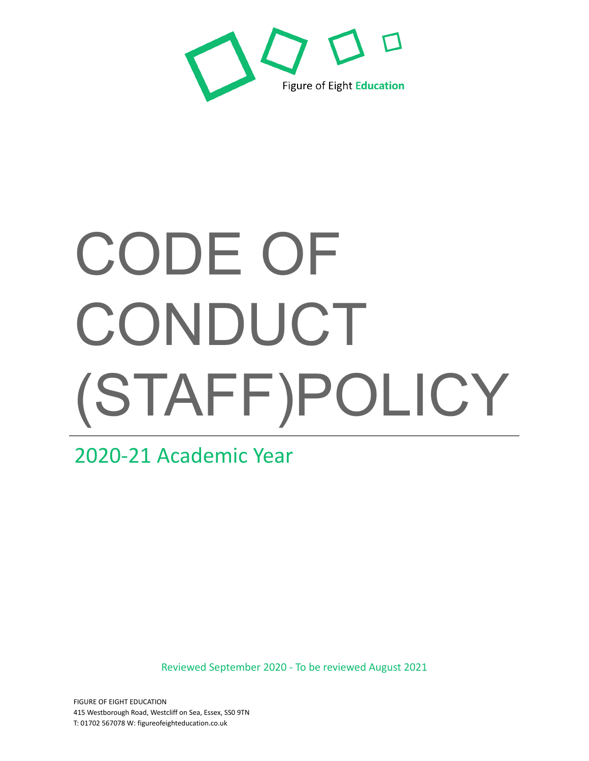

# CODE OF CONDUCT (STAFF)POLICY

2020-21 Academic Year

Reviewed September 2020 - To be reviewed August 2021

FIGURE OF EIGHT EDUCATION 415 Westborough Road, Westcliff on Sea, Essex, SS0 9TN T: 01702 567078 W: figureofeighteducation.co.uk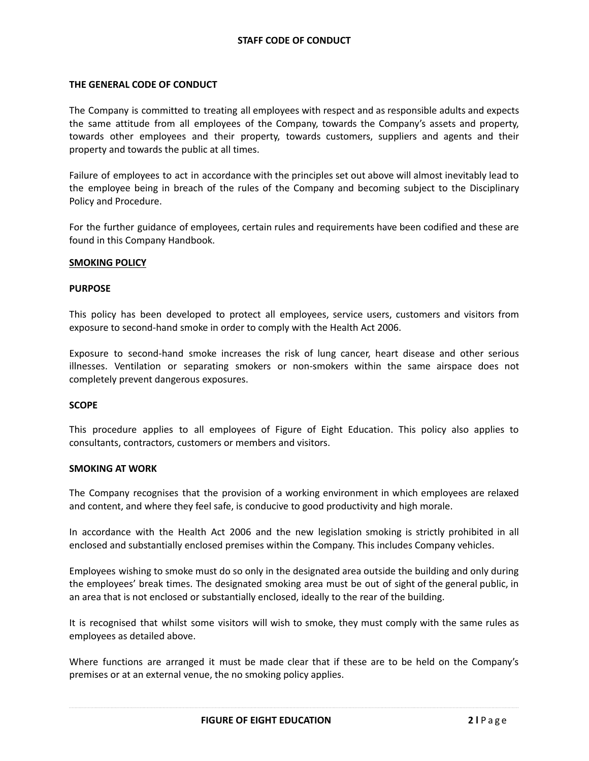# **THE GENERAL CODE OF CONDUCT**

The Company is committed to treating all employees with respect and as responsible adults and expects the same attitude from all employees of the Company, towards the Company's assets and property, towards other employees and their property, towards customers, suppliers and agents and their property and towards the public at all times.

Failure of employees to act in accordance with the principles set out above will almost inevitably lead to the employee being in breach of the rules of the Company and becoming subject to the Disciplinary Policy and Procedure.

For the further guidance of employees, certain rules and requirements have been codified and these are found in this Company Handbook.

## **SMOKING POLICY**

#### **PURPOSE**

This policy has been developed to protect all employees, service users, customers and visitors from exposure to second-hand smoke in order to comply with the Health Act 2006.

Exposure to second-hand smoke increases the risk of lung cancer, heart disease and other serious illnesses. Ventilation or separating smokers or non-smokers within the same airspace does not completely prevent dangerous exposures.

## **SCOPE**

This procedure applies to all employees of Figure of Eight Education. This policy also applies to consultants, contractors, customers or members and visitors.

#### **SMOKING AT WORK**

The Company recognises that the provision of a working environment in which employees are relaxed and content, and where they feel safe, is conducive to good productivity and high morale.

In accordance with the Health Act 2006 and the new legislation smoking is strictly prohibited in all enclosed and substantially enclosed premises within the Company. This includes Company vehicles.

Employees wishing to smoke must do so only in the designated area outside the building and only during the employees' break times. The designated smoking area must be out of sight of the general public, in an area that is not enclosed or substantially enclosed, ideally to the rear of the building.

It is recognised that whilst some visitors will wish to smoke, they must comply with the same rules as employees as detailed above.

Where functions are arranged it must be made clear that if these are to be held on the Company's premises or at an external venue, the no smoking policy applies.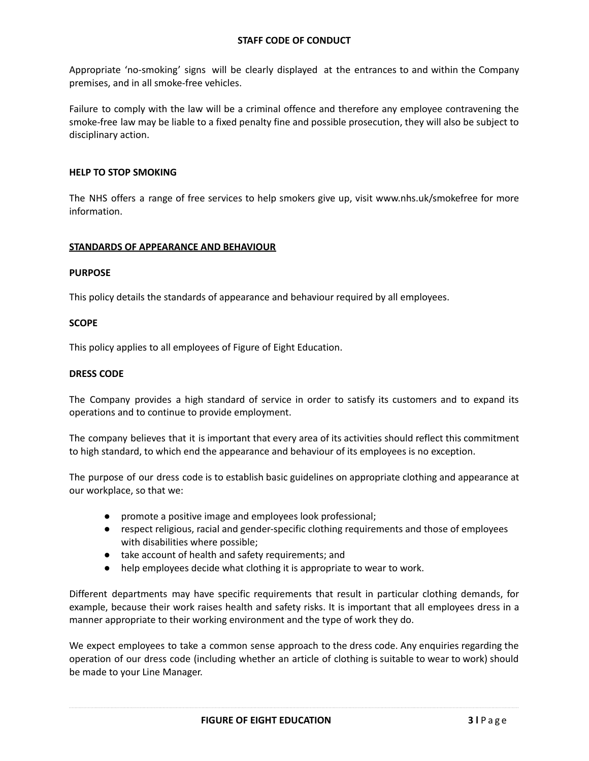## **STAFF CODE OF CONDUCT**

Appropriate 'no-smoking' signs will be clearly displayed at the entrances to and within the Company premises, and in all smoke-free vehicles.

Failure to comply with the law will be a criminal offence and therefore any employee contravening the smoke-free law may be liable to a fixed penalty fine and possible prosecution, they will also be subject to disciplinary action.

## **HELP TO STOP SMOKING**

The NHS offers a range of free services to help smokers give up, visit www.nhs.uk/smokefree for more information.

## **STANDARDS OF APPEARANCE AND BEHAVIOUR**

## **PURPOSE**

This policy details the standards of appearance and behaviour required by all employees.

# **SCOPE**

This policy applies to all employees of Figure of Eight Education.

## **DRESS CODE**

The Company provides a high standard of service in order to satisfy its customers and to expand its operations and to continue to provide employment.

The company believes that it is important that every area of its activities should reflect this commitment to high standard, to which end the appearance and behaviour of its employees is no exception.

The purpose of our dress code is to establish basic guidelines on appropriate clothing and appearance at our workplace, so that we:

- promote a positive image and employees look professional;
- respect religious, racial and gender-specific clothing requirements and those of employees with disabilities where possible;
- take account of health and safety requirements; and
- help employees decide what clothing it is appropriate to wear to work.

Different departments may have specific requirements that result in particular clothing demands, for example, because their work raises health and safety risks. It is important that all employees dress in a manner appropriate to their working environment and the type of work they do.

We expect employees to take a common sense approach to the dress code. Any enquiries regarding the operation of our dress code (including whether an article of clothing is suitable to wear to work) should be made to your Line Manager.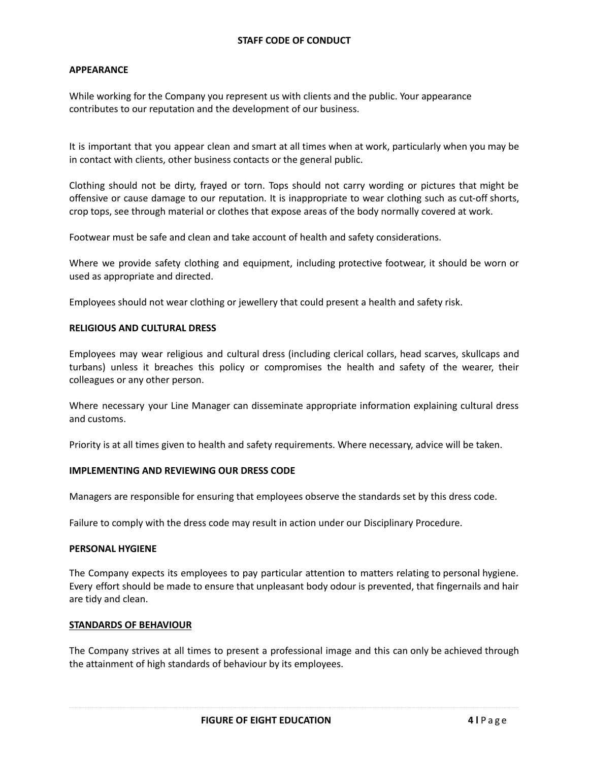## **APPEARANCE**

While working for the Company you represent us with clients and the public. Your appearance contributes to our reputation and the development of our business.

It is important that you appear clean and smart at all times when at work, particularly when you may be in contact with clients, other business contacts or the general public.

Clothing should not be dirty, frayed or torn. Tops should not carry wording or pictures that might be offensive or cause damage to our reputation. It is inappropriate to wear clothing such as cut-off shorts, crop tops, see through material or clothes that expose areas of the body normally covered at work.

Footwear must be safe and clean and take account of health and safety considerations.

Where we provide safety clothing and equipment, including protective footwear, it should be worn or used as appropriate and directed.

Employees should not wear clothing or jewellery that could present a health and safety risk.

## **RELIGIOUS AND CULTURAL DRESS**

Employees may wear religious and cultural dress (including clerical collars, head scarves, skullcaps and turbans) unless it breaches this policy or compromises the health and safety of the wearer, their colleagues or any other person.

Where necessary your Line Manager can disseminate appropriate information explaining cultural dress and customs.

Priority is at all times given to health and safety requirements. Where necessary, advice will be taken.

## **IMPLEMENTING AND REVIEWING OUR DRESS CODE**

Managers are responsible for ensuring that employees observe the standards set by this dress code.

Failure to comply with the dress code may result in action under our Disciplinary Procedure.

## **PERSONAL HYGIENE**

The Company expects its employees to pay particular attention to matters relating to personal hygiene. Every effort should be made to ensure that unpleasant body odour is prevented, that fingernails and hair are tidy and clean.

## **STANDARDS OF BEHAVIOUR**

The Company strives at all times to present a professional image and this can only be achieved through the attainment of high standards of behaviour by its employees.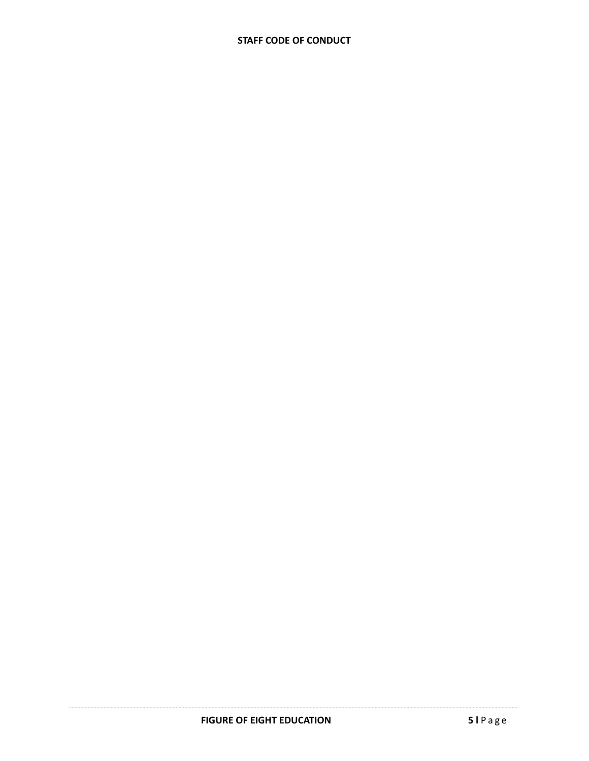# **STAFF CODE OF CONDUCT**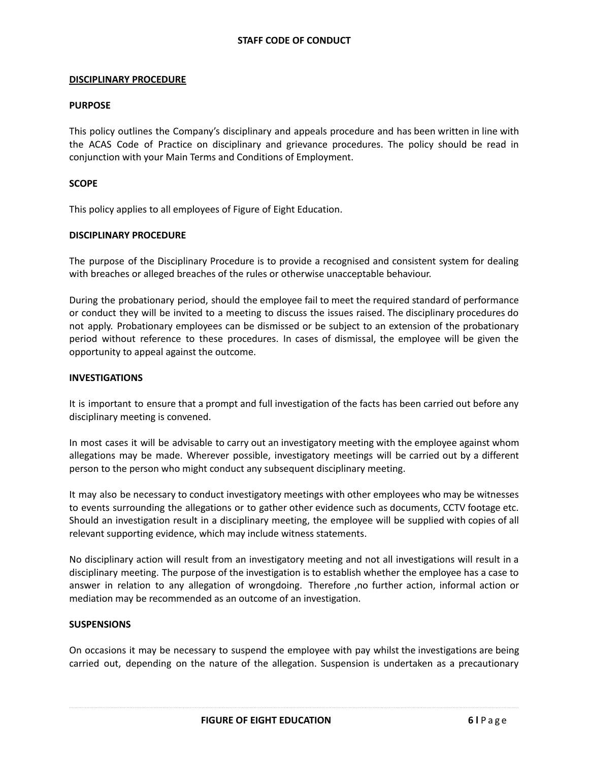## **DISCIPLINARY PROCEDURE**

## **PURPOSE**

This policy outlines the Company's disciplinary and appeals procedure and has been written in line with the ACAS Code of Practice on disciplinary and grievance procedures. The policy should be read in conjunction with your Main Terms and Conditions of Employment.

# **SCOPE**

This policy applies to all employees of Figure of Eight Education.

## **DISCIPLINARY PROCEDURE**

The purpose of the Disciplinary Procedure is to provide a recognised and consistent system for dealing with breaches or alleged breaches of the rules or otherwise unacceptable behaviour.

During the probationary period, should the employee fail to meet the required standard of performance or conduct they will be invited to a meeting to discuss the issues raised. The disciplinary procedures do not apply. Probationary employees can be dismissed or be subject to an extension of the probationary period without reference to these procedures. In cases of dismissal, the employee will be given the opportunity to appeal against the outcome.

## **INVESTIGATIONS**

It is important to ensure that a prompt and full investigation of the facts has been carried out before any disciplinary meeting is convened.

In most cases it will be advisable to carry out an investigatory meeting with the employee against whom allegations may be made. Wherever possible, investigatory meetings will be carried out by a different person to the person who might conduct any subsequent disciplinary meeting.

It may also be necessary to conduct investigatory meetings with other employees who may be witnesses to events surrounding the allegations or to gather other evidence such as documents, CCTV footage etc. Should an investigation result in a disciplinary meeting, the employee will be supplied with copies of all relevant supporting evidence, which may include witness statements.

No disciplinary action will result from an investigatory meeting and not all investigations will result in a disciplinary meeting. The purpose of the investigation is to establish whether the employee has a case to answer in relation to any allegation of wrongdoing. Therefore ,no further action, informal action or mediation may be recommended as an outcome of an investigation.

## **SUSPENSIONS**

On occasions it may be necessary to suspend the employee with pay whilst the investigations are being carried out, depending on the nature of the allegation. Suspension is undertaken as a precautionary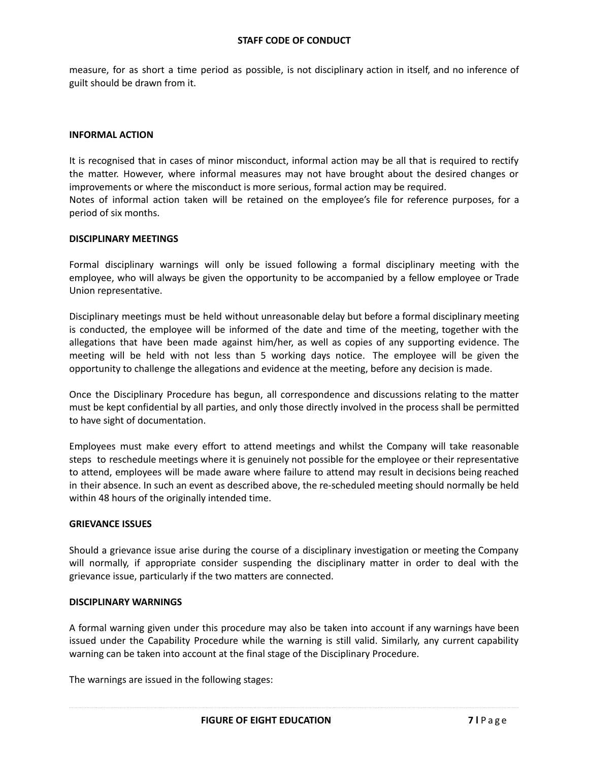measure, for as short a time period as possible, is not disciplinary action in itself, and no inference of guilt should be drawn from it.

## **INFORMAL ACTION**

It is recognised that in cases of minor misconduct, informal action may be all that is required to rectify the matter. However, where informal measures may not have brought about the desired changes or improvements or where the misconduct is more serious, formal action may be required. Notes of informal action taken will be retained on the employee's file for reference purposes, for a period of six months.

## **DISCIPLINARY MEETINGS**

Formal disciplinary warnings will only be issued following a formal disciplinary meeting with the employee, who will always be given the opportunity to be accompanied by a fellow employee or Trade Union representative.

Disciplinary meetings must be held without unreasonable delay but before a formal disciplinary meeting is conducted, the employee will be informed of the date and time of the meeting, together with the allegations that have been made against him/her, as well as copies of any supporting evidence. The meeting will be held with not less than 5 working days notice. The employee will be given the opportunity to challenge the allegations and evidence at the meeting, before any decision is made.

Once the Disciplinary Procedure has begun, all correspondence and discussions relating to the matter must be kept confidential by all parties, and only those directly involved in the process shall be permitted to have sight of documentation.

Employees must make every effort to attend meetings and whilst the Company will take reasonable steps to reschedule meetings where it is genuinely not possible for the employee or their representative to attend, employees will be made aware where failure to attend may result in decisions being reached in their absence. In such an event as described above, the re-scheduled meeting should normally be held within 48 hours of the originally intended time.

## **GRIEVANCE ISSUES**

Should a grievance issue arise during the course of a disciplinary investigation or meeting the Company will normally, if appropriate consider suspending the disciplinary matter in order to deal with the grievance issue, particularly if the two matters are connected.

# **DISCIPLINARY WARNINGS**

A formal warning given under this procedure may also be taken into account if any warnings have been issued under the Capability Procedure while the warning is still valid. Similarly, any current capability warning can be taken into account at the final stage of the Disciplinary Procedure.

The warnings are issued in the following stages: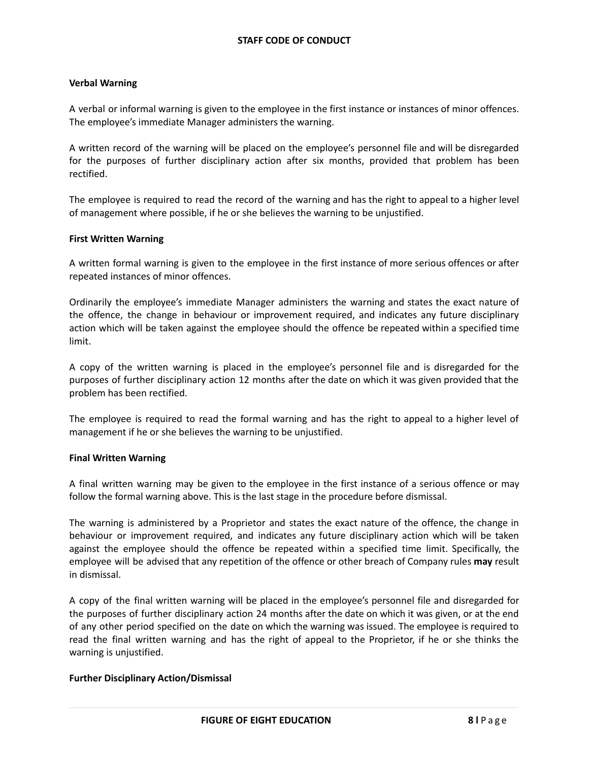## **Verbal Warning**

A verbal or informal warning is given to the employee in the first instance or instances of minor offences. The employee's immediate Manager administers the warning.

A written record of the warning will be placed on the employee's personnel file and will be disregarded for the purposes of further disciplinary action after six months, provided that problem has been rectified.

The employee is required to read the record of the warning and has the right to appeal to a higher level of management where possible, if he or she believes the warning to be unjustified.

## **First Written Warning**

A written formal warning is given to the employee in the first instance of more serious offences or after repeated instances of minor offences.

Ordinarily the employee's immediate Manager administers the warning and states the exact nature of the offence, the change in behaviour or improvement required, and indicates any future disciplinary action which will be taken against the employee should the offence be repeated within a specified time limit.

A copy of the written warning is placed in the employee's personnel file and is disregarded for the purposes of further disciplinary action 12 months after the date on which it was given provided that the problem has been rectified.

The employee is required to read the formal warning and has the right to appeal to a higher level of management if he or she believes the warning to be unjustified.

## **Final Written Warning**

A final written warning may be given to the employee in the first instance of a serious offence or may follow the formal warning above. This is the last stage in the procedure before dismissal.

The warning is administered by a Proprietor and states the exact nature of the offence, the change in behaviour or improvement required, and indicates any future disciplinary action which will be taken against the employee should the offence be repeated within a specified time limit. Specifically, the employee will be advised that any repetition of the offence or other breach of Company rules **may** result in dismissal.

A copy of the final written warning will be placed in the employee's personnel file and disregarded for the purposes of further disciplinary action 24 months after the date on which it was given, or at the end of any other period specified on the date on which the warning was issued. The employee is required to read the final written warning and has the right of appeal to the Proprietor, if he or she thinks the warning is unjustified.

# **Further Disciplinary Action/Dismissal**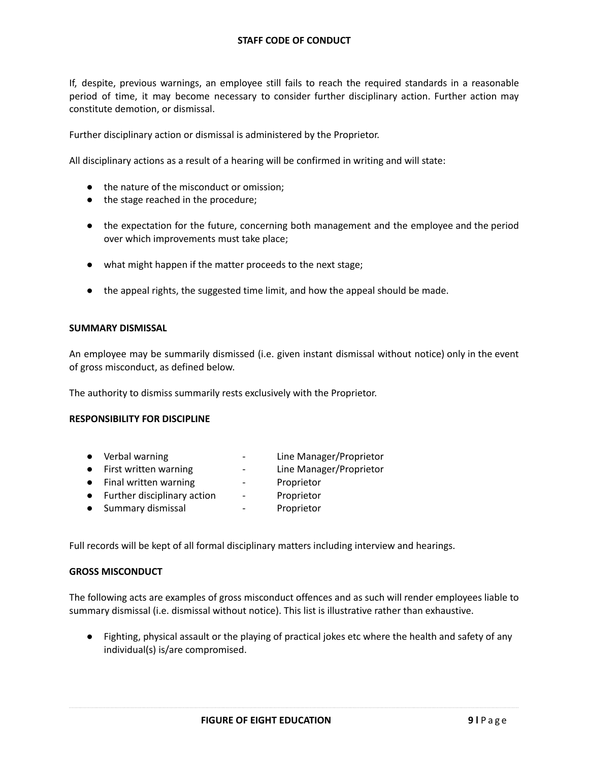If, despite, previous warnings, an employee still fails to reach the required standards in a reasonable period of time, it may become necessary to consider further disciplinary action. Further action may constitute demotion, or dismissal.

Further disciplinary action or dismissal is administered by the Proprietor.

All disciplinary actions as a result of a hearing will be confirmed in writing and will state:

- the nature of the misconduct or omission;
- the stage reached in the procedure;
- the expectation for the future, concerning both management and the employee and the period over which improvements must take place;
- what might happen if the matter proceeds to the next stage;
- the appeal rights, the suggested time limit, and how the appeal should be made.

## **SUMMARY DISMISSAL**

An employee may be summarily dismissed (i.e. given instant dismissal without notice) only in the event of gross misconduct, as defined below.

The authority to dismiss summarily rests exclusively with the Proprietor.

## **RESPONSIBILITY FOR DISCIPLINE**

- Verbal warning and the Manager/Proprietor
- First written warning The Manager/Proprietor
- Final written warning The Superint of Proprietor
- 
- Further disciplinary action Proprietor
- Summary dismissal Proprietor

Full records will be kept of all formal disciplinary matters including interview and hearings.

## **GROSS MISCONDUCT**

The following acts are examples of gross misconduct offences and as such will render employees liable to summary dismissal (i.e. dismissal without notice). This list is illustrative rather than exhaustive.

● Fighting, physical assault or the playing of practical jokes etc where the health and safety of any individual(s) is/are compromised.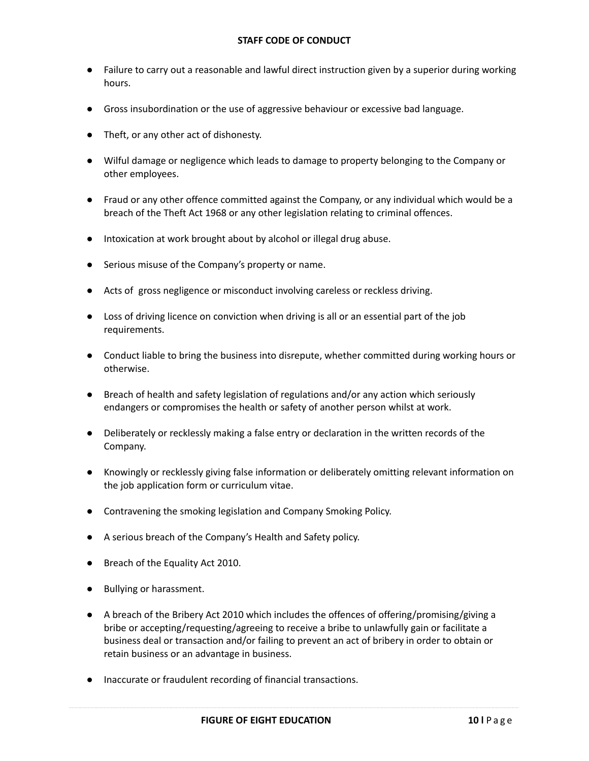- Failure to carry out a reasonable and lawful direct instruction given by a superior during working hours.
- Gross insubordination or the use of aggressive behaviour or excessive bad language.
- Theft, or any other act of dishonesty.
- Wilful damage or negligence which leads to damage to property belonging to the Company or other employees.
- Fraud or any other offence committed against the Company, or any individual which would be a breach of the Theft Act 1968 or any other legislation relating to criminal offences.
- Intoxication at work brought about by alcohol or illegal drug abuse.
- Serious misuse of the Company's property or name.
- Acts of gross negligence or misconduct involving careless or reckless driving.
- Loss of driving licence on conviction when driving is all or an essential part of the job requirements.
- Conduct liable to bring the business into disrepute, whether committed during working hours or otherwise.
- Breach of health and safety legislation of regulations and/or any action which seriously endangers or compromises the health or safety of another person whilst at work.
- Deliberately or recklessly making a false entry or declaration in the written records of the Company.
- Knowingly or recklessly giving false information or deliberately omitting relevant information on the job application form or curriculum vitae.
- Contravening the smoking legislation and Company Smoking Policy.
- A serious breach of the Company's Health and Safety policy.
- Breach of the Equality Act 2010.
- Bullying or harassment.
- A breach of the Bribery Act 2010 which includes the offences of offering/promising/giving a bribe or accepting/requesting/agreeing to receive a bribe to unlawfully gain or facilitate a business deal or transaction and/or failing to prevent an act of bribery in order to obtain or retain business or an advantage in business.
- Inaccurate or fraudulent recording of financial transactions.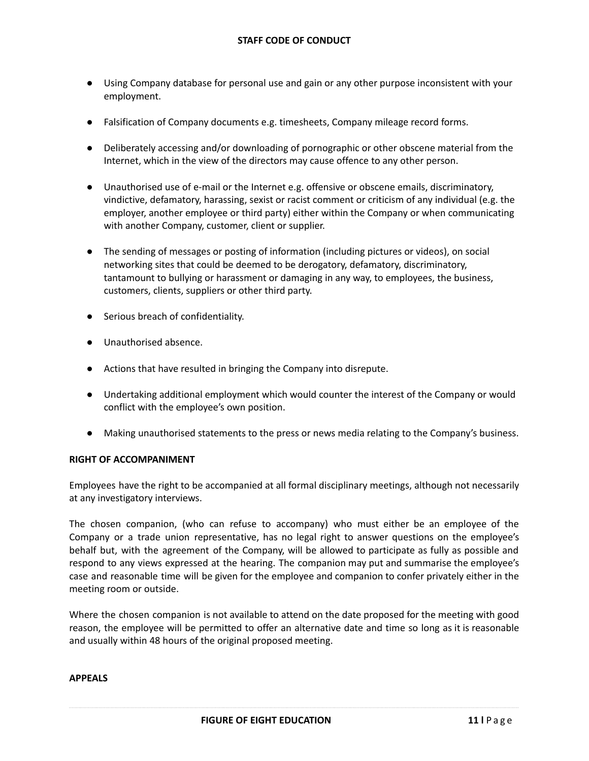- Using Company database for personal use and gain or any other purpose inconsistent with your employment.
- Falsification of Company documents e.g. timesheets, Company mileage record forms.
- Deliberately accessing and/or downloading of pornographic or other obscene material from the Internet, which in the view of the directors may cause offence to any other person.
- Unauthorised use of e-mail or the Internet e.g. offensive or obscene emails, discriminatory, vindictive, defamatory, harassing, sexist or racist comment or criticism of any individual (e.g. the employer, another employee or third party) either within the Company or when communicating with another Company, customer, client or supplier.
- The sending of messages or posting of information (including pictures or videos), on social networking sites that could be deemed to be derogatory, defamatory, discriminatory, tantamount to bullying or harassment or damaging in any way, to employees, the business, customers, clients, suppliers or other third party.
- Serious breach of confidentiality.
- Unauthorised absence.
- Actions that have resulted in bringing the Company into disrepute.
- Undertaking additional employment which would counter the interest of the Company or would conflict with the employee's own position.
- Making unauthorised statements to the press or news media relating to the Company's business.

# **RIGHT OF ACCOMPANIMENT**

Employees have the right to be accompanied at all formal disciplinary meetings, although not necessarily at any investigatory interviews.

The chosen companion, (who can refuse to accompany) who must either be an employee of the Company or a trade union representative, has no legal right to answer questions on the employee's behalf but, with the agreement of the Company, will be allowed to participate as fully as possible and respond to any views expressed at the hearing. The companion may put and summarise the employee's case and reasonable time will be given for the employee and companion to confer privately either in the meeting room or outside.

Where the chosen companion is not available to attend on the date proposed for the meeting with good reason, the employee will be permitted to offer an alternative date and time so long as it is reasonable and usually within 48 hours of the original proposed meeting.

## **APPEALS**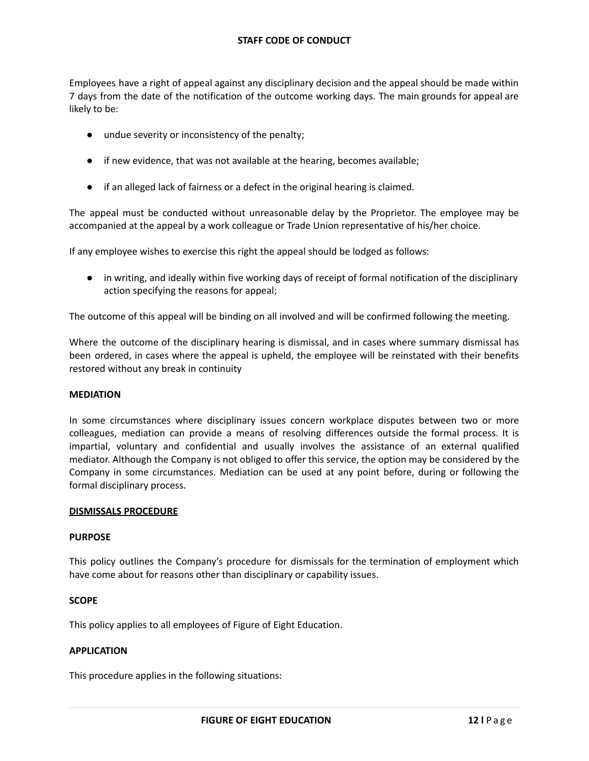Employees have a right of appeal against any disciplinary decision and the appeal should be made within 7 days from the date of the notification of the outcome working days. The main grounds for appeal are likely to be:

- undue severity or inconsistency of the penalty;
- if new evidence, that was not available at the hearing, becomes available;
- if an alleged lack of fairness or a defect in the original hearing is claimed.

The appeal must be conducted without unreasonable delay by the Proprietor. The employee may be accompanied at the appeal by a work colleague or Trade Union representative of his/her choice.

If any employee wishes to exercise this right the appeal should be lodged as follows:

● in writing, and ideally within five working days of receipt of formal notification of the disciplinary action specifying the reasons for appeal;

The outcome of this appeal will be binding on all involved and will be confirmed following the meeting.

Where the outcome of the disciplinary hearing is dismissal, and in cases where summary dismissal has been ordered, in cases where the appeal is upheld, the employee will be reinstated with their benefits restored without any break in continuity

## **MEDIATION**

In some circumstances where disciplinary issues concern workplace disputes between two or more colleagues, mediation can provide a means of resolving differences outside the formal process. It is impartial, voluntary and confidential and usually involves the assistance of an external qualified mediator. Although the Company is not obliged to offer this service, the option may be considered by the Company in some circumstances. Mediation can be used at any point before, during or following the formal disciplinary process.

## **DISMISSALS PROCEDURE**

## **PURPOSE**

This policy outlines the Company's procedure for dismissals for the termination of employment which have come about for reasons other than disciplinary or capability issues.

## **SCOPE**

This policy applies to all employees of Figure of Eight Education.

# **APPLICATION**

This procedure applies in the following situations: